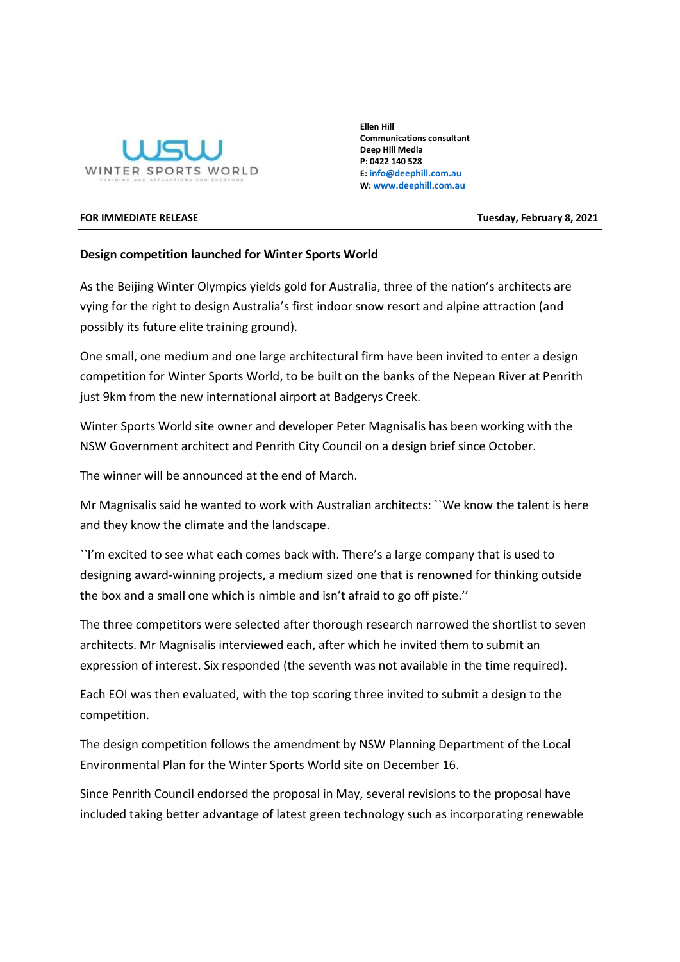

Ellen Hill Communications consultant Deep Hill Media P: 0422 140 528 E: info@deephill.com.au W: www.deephill.com.au

FOR IMMEDIATE RELEASE TUESDAY AND TUESDAY, February 8, 2021

## Design competition launched for Winter Sports World

As the Beijing Winter Olympics yields gold for Australia, three of the nation's architects are vying for the right to design Australia's first indoor snow resort and alpine attraction (and possibly its future elite training ground).

One small, one medium and one large architectural firm have been invited to enter a design competition for Winter Sports World, to be built on the banks of the Nepean River at Penrith just 9km from the new international airport at Badgerys Creek.

Winter Sports World site owner and developer Peter Magnisalis has been working with the NSW Government architect and Penrith City Council on a design brief since October.

The winner will be announced at the end of March.

Mr Magnisalis said he wanted to work with Australian architects: ``We know the talent is here and they know the climate and the landscape.

``I'm excited to see what each comes back with. There's a large company that is used to designing award-winning projects, a medium sized one that is renowned for thinking outside the box and a small one which is nimble and isn't afraid to go off piste.''

The three competitors were selected after thorough research narrowed the shortlist to seven architects. Mr Magnisalis interviewed each, after which he invited them to submit an expression of interest. Six responded (the seventh was not available in the time required).

Each EOI was then evaluated, with the top scoring three invited to submit a design to the competition.

The design competition follows the amendment by NSW Planning Department of the Local Environmental Plan for the Winter Sports World site on December 16.

Since Penrith Council endorsed the proposal in May, several revisions to the proposal have included taking better advantage of latest green technology such as incorporating renewable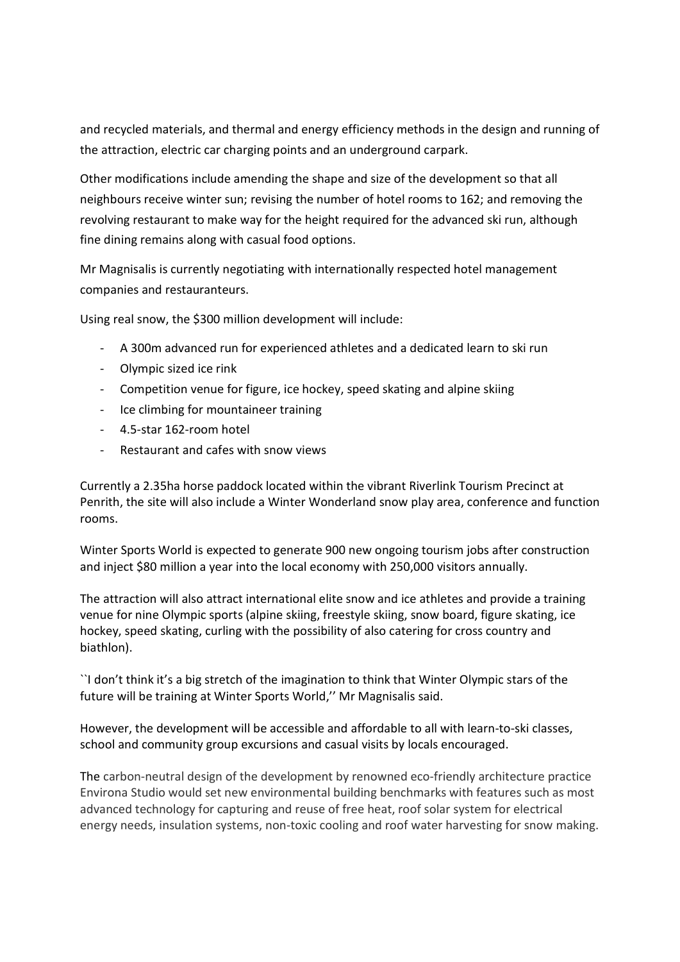and recycled materials, and thermal and energy efficiency methods in the design and running of the attraction, electric car charging points and an underground carpark.

Other modifications include amending the shape and size of the development so that all neighbours receive winter sun; revising the number of hotel rooms to 162; and removing the revolving restaurant to make way for the height required for the advanced ski run, although fine dining remains along with casual food options.

Mr Magnisalis is currently negotiating with internationally respected hotel management companies and restauranteurs.

Using real snow, the \$300 million development will include:

- A 300m advanced run for experienced athletes and a dedicated learn to ski run
- Olympic sized ice rink
- Competition venue for figure, ice hockey, speed skating and alpine skiing
- Ice climbing for mountaineer training
- 4.5-star 162-room hotel
- Restaurant and cafes with snow views

Currently a 2.35ha horse paddock located within the vibrant Riverlink Tourism Precinct at Penrith, the site will also include a Winter Wonderland snow play area, conference and function rooms.

Winter Sports World is expected to generate 900 new ongoing tourism jobs after construction and inject \$80 million a year into the local economy with 250,000 visitors annually.

The attraction will also attract international elite snow and ice athletes and provide a training venue for nine Olympic sports (alpine skiing, freestyle skiing, snow board, figure skating, ice hockey, speed skating, curling with the possibility of also catering for cross country and biathlon).

``I don't think it's a big stretch of the imagination to think that Winter Olympic stars of the future will be training at Winter Sports World,'' Mr Magnisalis said.

However, the development will be accessible and affordable to all with learn-to-ski classes, school and community group excursions and casual visits by locals encouraged.

The carbon-neutral design of the development by renowned eco-friendly architecture practice Environa Studio would set new environmental building benchmarks with features such as most advanced technology for capturing and reuse of free heat, roof solar system for electrical energy needs, insulation systems, non-toxic cooling and roof water harvesting for snow making.